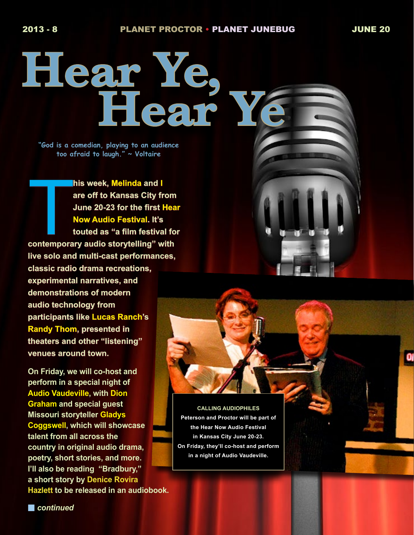o

**Hear Ye, Hear Ye**

**"God is a comedian, playing to an audience too afraid to laugh." ~ Voltaire**

**contemporary audio storytelling" with and I**<br> **contemporary audio storytelling" with <br>
Contemporary audio storytelling" with his week, Melinda and I are off to Kansas City from June 20-23 for the first Hear Now Audio Festival. It's touted as "a film festival for live solo and multi-cast performances, classic radio drama recreations, experimental narratives, and demonstrations of modern audio technology from participants like Lucas Ranch's Randy Thom, presented in theaters and other "listening" venues around town.** 

**On Friday, we will co-host and perform in a special night of Audio Vaudeville, with Dion Graham and special guest Missouri storyteller Gladys Coggswell, which will showcase talent from all across the country in original audio drama, poetry, short stories, and more. I'll also be reading "Bradbury," a short story by Denice Rovira Hazlett to be released in an audiobook.** 

**CALLING AUDIOPHILES Peterson and Proctor will be part of the Hear Now Audio Festival in Kansas City June 20-23. On Friday, they'll co-host and perform in a night of Audio Vaudeville.**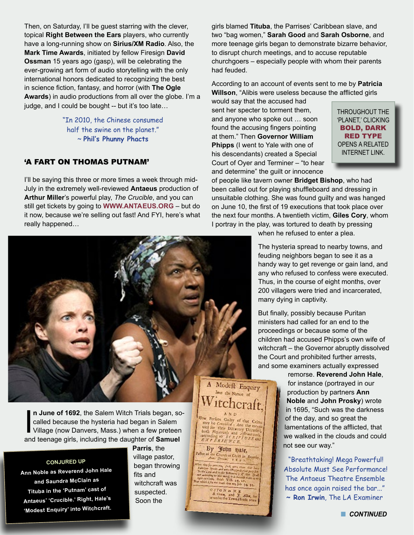Then, on Saturday, I'll be guest starring with the clever, topical **Right Between the Ears** players, who currently have a long-running show on **Sirius/XM Radio**. Also, the **Mark Time Awards**, initiated by fellow Firesign **David Ossman** 15 years ago (gasp), will be celebrating the ever-growing art form of audio storytelling with the only international honors dedicated to recognizing the best in science fiction, fantasy, and horror (with **The Ogle Awards**) in audio productions from all over the globe. I'm a judge, and I could be bought -- but it's too late…

> "In 2010, the Chinese consumed half the swine on the planet." ~ **Phil's Phunny Phacts**

#### 'A FART ON THOMAS PUTNAM'

I'll be saying this three or more times a week through mid-July in the extremely well-reviewed **Antaeus** production of **Arthur Miller**'s powerful play, *The Crucible*, and you can still get tickets by going to **WW[W.ANTAEUS.](www.antaeus.org)ORG** – but do it now, because we're selling out fast! And FYI, here's what really happened…

girls blamed **Tituba**, the Parrises' Caribbean slave, and two "bag women," **Sarah Good** and **Sarah Osborne**, and more teenage girls began to demonstrate bizarre behavior, to disrupt church meetings, and to accuse reputable churchgoers – especially people with whom their parents had feuded.

According to an account of events sent to me by **Patricia Willson**, "Alibis were useless because the afflicted girls

would say that the accused had sent her specter to torment them, and anyone who spoke out … soon found the accusing fingers pointing at them." Then **Governor William Phipps** (I went to Yale with one of his descendants) created a Special Court of Oyer and Terminer – "to hear and determine" the guilt or innocence

THROUGHOUT THE 'PLANET,' CLICKING BOLD, DARK RED TYPE OPENS A RELATED INTERNET LINK.

of people like tavern owner **Bridget Bishop**, who had been called out for playing shuffleboard and dressing in unsuitable clothing. She was found guilty and was hanged on June 10, the first of 19 executions that took place over the next four months. A twentieth victim, **Giles Cory**, whom I portray in the play, was tortured to death by pressing

when he refused to enter a plea.

The hysteria spread to nearby towns, and feuding neighbors began to see it as a handy way to get revenge or gain land, and any who refused to confess were executed. Thus, in the course of eight months, over 200 villagers were tried and incarcerated, many dying in captivity.

But finally, possibly because Puritan ministers had called for an end to the proceedings or because some of the children had accused Phipps's own wife of witchcraft – the Governor abruptly dissolved the Court and prohibited further arrests, and some examiners actually expressed

> remorse. **Reverend John Hale**, for instance (portrayed in our production by partners **Ann Noble** and **John Prosky**) wrote in 1695, "Such was the darkness of the day, and so great the lamentations of the afflicted, that we walked in the clouds and could not see our way."

> "Breathtaking! Mega Powerful! Absolute Must See Performance! The Antaeus Theatre Ensemble has once again raised the bar..." **~ Ron Irwin**, The LA Examiner



In June of 1692, the Salem Witch Trials began, so called because the hysteria had began in Salem Village (now Danvers, Mass.) when a few preteen and teenage girls, including the daughter of **Samuel n June of 1692**, the Salem Witch Trials began, socalled because the hysteria had began in Salem Village (now Danvers, Mass.) when a few preteen

**CONJURED UP**

**Ann Noble as Reverend John Hale and Saundra McClain as Tituba in the 'Putnam' cast of Antaeus' 'Crucible.' Right, Hale's 'Modest Enquiry' into Witchcraft.**

**Parris**, the village pastor, began throwing fits and witchcraft was suspected. Soon the

# A Modeft Enquiry Witchcraft **AND**

A N D<br>
How Perfons Guilty of that Crime<br>
may be Covarided: And the means<br>
uled for their Difcovery Distantier,<br>
both Negariedy and Affirmatively,<br>
vaccording to  $S \subset R$  I PTOR such according to SCRIPTURE and

By John Dale, after of the Church of Christ in Beverley you, feek anto them or Spirits and unto 1971 (and the prop.)<br>and and cooler Tellinoon ; if they fee<br>whing so shis words it is because there is a<br>climate is a fill of the second the state is it is a second that we is a fill of the state

 $\overline{O S T O N}$  in N. E.<br>B. Green, and  $\overline{J}$ .<br>ist under the Town He

Allen, fo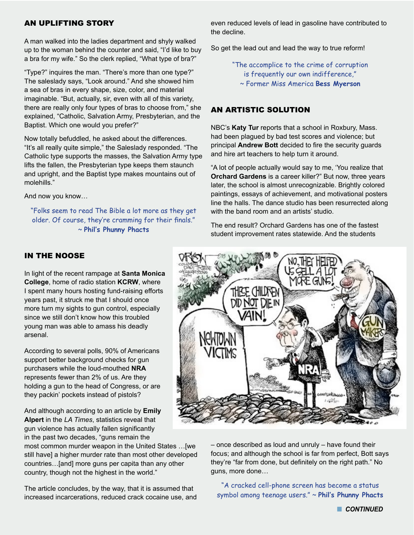## AN UPLIFTING STORY

A man walked into the ladies department and shyly walked up to the woman behind the counter and said, "I'd like to buy a bra for my wife." So the clerk replied, "What type of bra?"

"Type?" inquires the man. "There's more than one type?" The saleslady says, "Look around." And she showed him a sea of bras in every shape, size, color, and material imaginable. "But, actually, sir, even with all of this variety, there are really only four types of bras to choose from," she explained, "Catholic, Salvation Army, Presbyterian, and the Baptist. Which one would you prefer?"

Now totally befuddled, he asked about the differences. "It's all really quite simple," the Saleslady responded. "The Catholic type supports the masses, the Salvation Army type lifts the fallen, the Presbyterian type keeps them staunch and upright, and the Baptist type makes mountains out of molehills."

And now you know…

"Folks seem to read The Bible a lot more as they get older. Of course, they're cramming for their finals." ~ **Phil's Phunny Phacts**

even reduced levels of lead in gasoline have contributed to the decline.

So get the lead out and lead the way to true reform!

"The accomplice to the crime of corruption is frequently our own indifference," ~ Former Miss America **Bess Myerson**

## AN ARTISTIC SOLUTION

NBC's **Katy Tur** reports that a school in Roxbury, Mass. had been plagued by bad test scores and violence; but principal **Andrew Bott** decided to fire the security guards and hire art teachers to help turn it around.

"A lot of people actually would say to me, 'You realize that **Orchard Gardens** is a career killer?" But now, three years later, the school is almost unrecognizable. Brightly colored paintings, essays of achievement, and motivational posters line the halls. The dance studio has been resurrected along with the band room and an artists' studio.

The end result? Orchard Gardens has one of the fastest student improvement rates statewide. And the students



In light of the recent rampage at **Santa Monica College**, home of radio station **KCRW**, where I spent many hours hosting fund-raising efforts years past, it struck me that I should once more turn my sights to gun control, especially since we still don't know how this troubled young man was able to amass his deadly arsenal.

According to several polls, 90% of Americans support better background checks for gun purchasers while the loud-mouthed **NRA** represents fewer than 2% of us. Are they holding a gun to the head of Congress, or are they packin' pockets instead of pistols?

And although according to an article by **Emily Alpert** in the *LA Times*, statistics reveal that gun violence has actually fallen significantly in the past two decades, "guns remain the

most common murder weapon in the United States …[we still have] a higher murder rate than most other developed countries…[and] more guns per capita than any other country, though not the highest in the world."

The article concludes, by the way, that it is assumed that increased incarcerations, reduced crack cocaine use, and



– once described as loud and unruly – have found their focus; and although the school is far from perfect, Bott says they're "far from done, but definitely on the right path." No guns, more done…

"A cracked cell-phone screen has become a status symbol among teenage users." ~ **Phil's Phunny Phacts**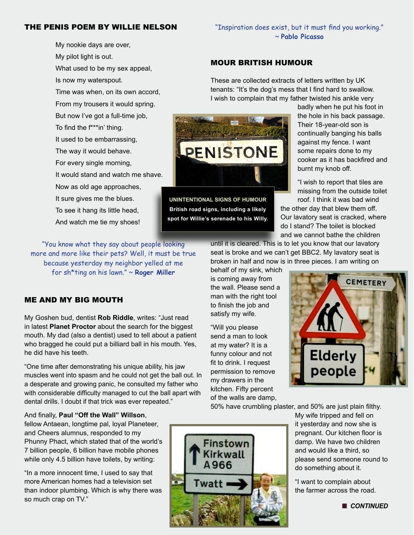## THE PENIS POEM BY WILLIE NELSON

My nookie days are over, My pilot light is out. What used to be my sex appeal, Is now my waterspout. Time was when, on its own accord, From my trousers it would spring. But now I've got a full-time job, To find the f\*\*\*in' thing. It used to be embarrassing, The way it would behave. For every single morning, It would stand and watch me shave. Now as old age approaches, It sure gives me the blues. To see it hang its little head, And watch me tie my shoes!

"You know what they say about people looking more and more like their pets? Well, it must be true because yesterday my neighbor yelled at me for sh\*ting on his lawn." ~ **Roger Miller**

## ME AND MY BIG MOUTH

My Goshen bud, dentist **Rob Riddle**, writes: "Just read in latest **Planet Proctor** about the search for the biggest mouth. My dad (also a dentist) used to tell about a patient who bragged he could put a billiard ball in his mouth. Yes, he did have his teeth.

"One time after demonstrating his unique ability, his jaw muscles went into spasm and he could not get the ball out. In a desperate and growing panic, he consulted my father who with considerable difficulty managed to cut the ball apart with dental drills. I doubt if that trick was ever repeated."

#### And finally, **Paul "Off the Wall" Willson**,

fellow Antaean, longtime pal, loyal Planeteer, and Cheers alumnus, responded to my Phunny Phact, which stated that of the world's 7 billion people, 6 billion have mobile phones while only 4.5 billion have toilets, by writing:

"In a more innocent time, I used to say that more American homes had a television set than indoor plumbing. Which is why there was so much crap on TV."

## "Inspiration does exist, but it must find you working." ~ **Pablo Picasso**

## MOUR BRITISH HUMOUR

These are collected extracts of letters written by UK tenants: "It's the dog's mess that I find hard to swallow. I wish to complain that my father twisted his ankle very



**UNINTENTIONAL SIGNS OF HUMOUR British road signs, including a likely spot for Willie's serenade to his Willy.**

badly when he put his foot in the hole in his back passage. Their 18-year-old son is continually banging his balls against my fence. I want some repairs done to my cooker as it has backfired and burnt my knob off.

"I wish to report that tiles are missing from the outside toilet roof. I think it was bad wind

the other day that blew them off. Our lavatory seat is cracked, where do I stand? The toilet is blocked and we cannot bathe the children

until it is cleared. This is to let you know that our lavatory seat is broke and we can't get BBC2. My lavatory seat is broken in half and now is in three pieces. I am writing on

behalf of my sink, which is coming away from the wall. Please send a man with the right tool to finish the job and satisfy my wife.

"Will you please send a man to look at my water? It is a funny colour and not fit to drink. I request permission to remove my drawers in the kitchen. Fifty percent of the walls are damp,

Finstow



50% have crumbling plaster, and 50% are just plain filthy.

My wife tripped and fell on it yesterday and now she is pregnant. Our kitchen floor is damp. We have two children and would like a third, so please send someone round to do something about it.

"I want to complain about the farmer across the road.

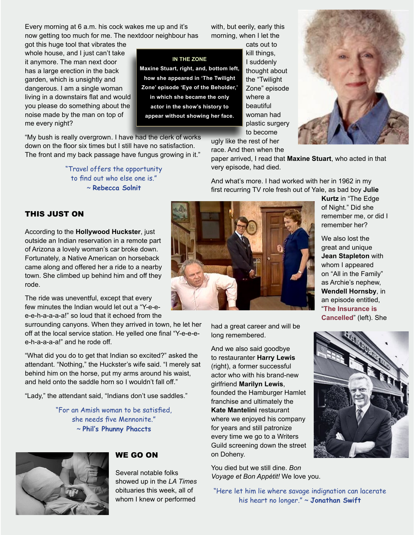Every morning at 6 a.m. his cock wakes me up and it's now getting too much for me. The nextdoor neighbour has

got this huge tool that vibrates the whole house, and I just can't take it anymore. The man next door has a large erection in the back garden, which is unsightly and dangerous. I am a single woman living in a downstairs flat and would you please do something about the noise made by the man on top of me every night?

"My bush is really overgrown. I have had the clerk of works down on the floor six times but I still have no satisfaction. The front and my back passage have fungus growing in it."

> "Travel offers the opportunity to find out who else one is." ~ **Rebecca Solnit**

with, but eerily, early this morning, when I let the

**IN THE ZONE Maxine Stuart, right, and, bottom left, how she appeared in 'The Twilight Zone' episode 'Eye of the Beholder,' in which she became the only actor in the show's history to appear without showing her face.**

cats out to kill things, I suddenly thought about the "Twilight Zone" episode where a beautiful woman had plastic surgery to become



ugly like the rest of her race. And then when the

paper arrived, I read that **Maxine Stuart**, who acted in that very episode, had died.

And what's more. I had worked with her in 1962 in my first recurring TV role fresh out of Yale, as bad boy **Julie** 

## THIS JUST ON

According to the **Hollywood Huckster**, just outside an Indian reservation in a remote part of Arizona a lovely woman's car broke down. Fortunately, a Native American on horseback came along and offered her a ride to a nearby town. She climbed up behind him and off they rode.

The ride was uneventful, except that every few minutes the Indian would let out a "Y-e-ee-e-h-a-a-a-a!" so loud that it echoed from the

surrounding canyons. When they arrived in town, he let her off at the local service station. He yelled one final "Y-e-e-ee-h-a-a-a-a!" and he rode off.

"What did you do to get that Indian so excited?" asked the attendant. "Nothing," the Huckster's wife said. "I merely sat behind him on the horse, put my arms around his waist, and held onto the saddle horn so I wouldn't fall off."

"Lady," the attendant said, "Indians don't use saddles."

"For an Amish woman to be satisfied, she needs five Mennonite." ~ **Phil's Phunny Phaccts**



## WE GO ON

Several notable folks showed up in the *LA Times* obituaries this week, all of whom I knew or performed



had a great career and will be long remembered.

And we also said goodbye to restauranter **Harry Lewis** (right), a former successful actor who with his brand-new girlfriend **Marilyn Lewis**, founded the Hamburger Hamlet franchise and ultimately the **Kate Mantelini** restaurant where we enjoyed his company for years and still patronize every time we go to a Writers Guild screening down the street on Doheny.

You died but we still dine. *Bon Voyage et Bon Appétit!* We love you.

**Kurtz** in "The Edge of Night." Did she remember me, or did I remember her?

We also lost the great and unique **Jean Stapleton** with whom I appeared on "All in the Family" as Archie's nephew, **Wendell Hornsby**, in an episode entitled, "**The [Insurance is](http://www.hulu.com/watch/262056)  [Cancelled](http://www.hulu.com/watch/262056)**" (left). She



"Here let him lie where savage indignation can lacerate his heart no longer." ~ **Jonathan Swift**